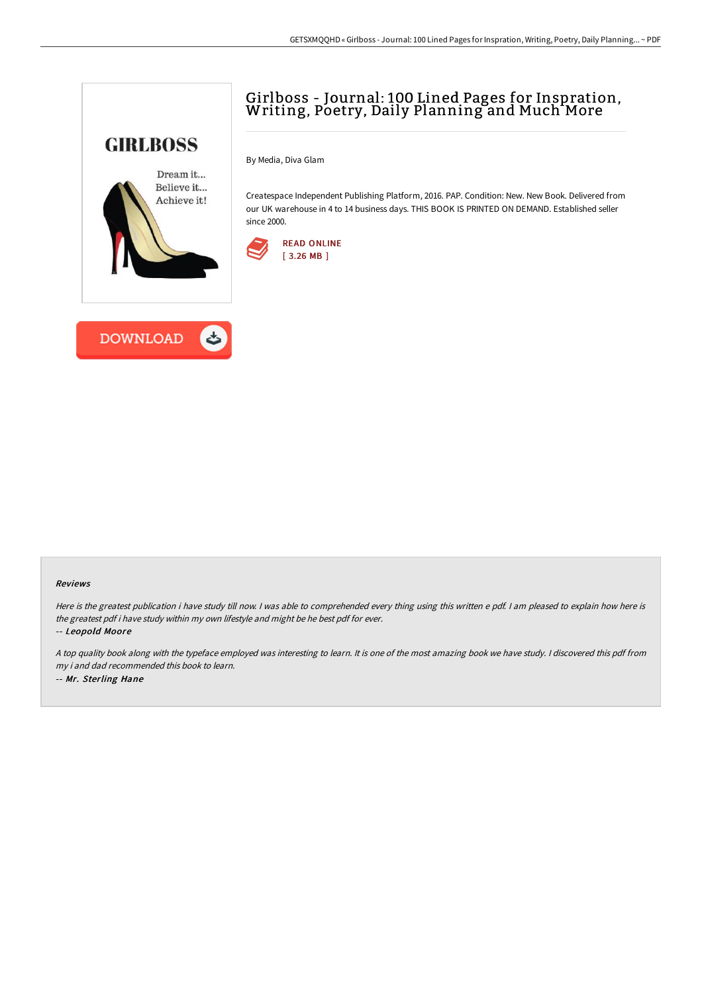## Girlboss - Journal: <sup>100</sup> Lined Pages for Inspration, Writing, Poetry, Daily Planning and Much More



By Media, Diva Glam

Createspace Independent Publishing Platform, 2016. PAP. Condition: New. New Book. Delivered from our UK warehouse in 4 to 14 business days. THIS BOOK IS PRINTED ON DEMAND. Established seller since 2000.





## Reviews

Here is the greatest publication i have study till now. <sup>I</sup> was able to comprehended every thing using this written <sup>e</sup> pdf. <sup>I</sup> am pleased to explain how here is the greatest pdf i have study within my own lifestyle and might be he best pdf for ever.

-- Leopold Moore

<sup>A</sup> top quality book along with the typeface employed was interesting to learn. It is one of the most amazing book we have study. <sup>I</sup> discovered this pdf from my i and dad recommended this book to learn. -- Mr. Sterling Hane